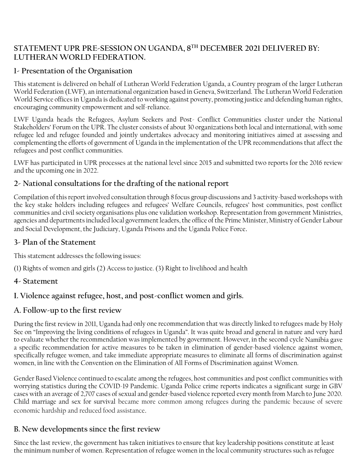## **STATEMENT UPR PRE-SESSION ON UGANDA, 8TH DECEMBER 2021 DELIVERED BY: LUTHERAN WORLD FEDERATION.**

## **1- Presentation of the Organisation**

This statement is delivered on behalf of Lutheran World Federation Uganda, a Country program of the larger Lutheran World Federation (LWF), an international organization based in Geneva, Switzerland. The Lutheran World Federation World Service offices in Uganda is dedicated to working against poverty, promoting justice and defending human rights, encouraging community empowerment and self-reliance.

LWF Uganda heads the Refugees, Asylum Seekers and Post- Conflict Communities cluster under the National Stakeholders' Forum on the UPR. The cluster consists of about 30 organizations both local and international, with some refugee led and refugee founded and jointly undertakes advocacy and monitoring initiatives aimed at assessing and complementing the efforts of government of Uganda in the implementation of the UPR recommendations that affect the refugees and post conflict communities.

LWF has participated in UPR processes at the national level since 2015 and submitted two reports for the 2016 review and the upcoming one in 2022.

## **2- National consultations for the drafting of the national report**

Compilation of this report involved consultation through 8 focus group discussions and 3 activity-based workshops with the key stake holders including refugees and refugees' Welfare Councils, refugees' host communities, post conflict communities and civil society organisations plus one validation workshop. Representation from government Ministries, agencies and departments included local government leaders, the office of the Prime Minister, Ministry of Gender Labour and Social Development, the Judiciary, Uganda Prisons and the Uganda Police Force.

# **3- Plan of the Statement**

This statement addresses the following issues:

(1) Rights of women and girls (2) Access to justice. (3) Right to livelihood and health

## **4- Statement**

# **I. Violence against refugee, host, and post-conflict women and girls.**

## **A. Follow-up to the first review**

During the first review in 2011, Uganda had only one recommendation that was directly linked to refugees made by Holy See on "Improving the living conditions of refugees in Uganda". It was quite broad and general in nature and very hard to evaluate whether the recommendation was implemented by government. However, in the second cycle Namibia gave a specific recommendation for active measures to be taken in elimination of gender-based violence against women, specifically refugee women, and take immediate appropriate measures to eliminate all forms of discrimination against women, in line with the Convention on the Elimination of All Forms of Discrimination against Women.

Gender Based Violence continued to escalate among the refugees, host communities and post conflict communities with worrying statistics during the COVID-19 Pandemic. Uganda Police crime reports indicates a significant surge in GBV cases with an average of 2,707 cases of sexual and gender-based violence reported every month from March to June 2020. Child marriage and sex for survival became more common among refugees during the pandemic because of severe economic hardship and reduced food assistance.

# **B. New developments since the first review**

Since the last review, the government has taken initiatives to ensure that key leadership positions constitute at least the minimum number of women. Representation of refugee women in the local community structures such as refugee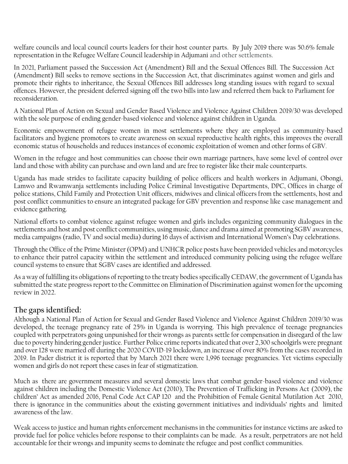welfare councils and local council courts leaders for their host counter parts. By July 2019 there was 50.6% female representation in the Refugee Welfare Council leadership in Adjumani and other settlements.

In 2021, Parliament passed the Succession Act (Amendment) Bill and the Sexual Offences Bill. The Succession Act (Amendment) Bill seeks to remove sections in the Succession Act, that discriminates against women and girls and promote their rights to inheritance, the Sexual Offences Bill addresses long standing issues with regard to sexual offences. However, the president deferred signing off the two bills into law and referred them back to Parliament for reconsideration.

A National Plan of Action on Sexual and Gender Based Violence and Violence Against Children 2019/30 was developed with the sole purpose of ending gender-based violence and violence against children in Uganda.

Economic empowerment of refugee women in most settlements where they are employed as community-based facilitators and hygiene promotors to create awareness on sexual reproductive health rights, this improves the overall economic status of households and reduces instances of economic exploitation of women and other forms of GBV.

Women in the refugee and host communities can choose their own marriage partners, have some level of control over land and those with ability can purchase and own land and are free to register like their male counterparts.

Uganda has made strides to facilitate capacity building of police officers and health workers in Adjumani, Obongi, Lamwo and Rwamwanja settlements including Police Criminal Investigative Departments, DPC, Offices in charge of police stations, Child Family and Protection Unit officers, midwives and clinical officers from the settlements, host and post conflict communities to ensure an integrated package for GBV prevention and response like case management and evidence gathering.

National efforts to combat violence against refugee women and girls includes organizing community dialogues in the settlements and host and post conflict communities, using music, dance and drama aimed at promoting SGBV awareness, media campaigns (radio, TV and social media) during 16 days of activism and International Women's Day celebrations.

Through the Office of the Prime Minister (OPM) and UNHCR police posts have been provided vehicles and motorcycles to enhance their patrol capacity within the settlement and introduced community policing using the refugee welfare council systems to ensure that SGBV cases are identified and addressed.

As a way of fulfilling its obligations of reporting to the treaty bodies specifically CEDAW, the government of Uganda has submitted the state progress report to the Committee on Elimination of Discrimination against women for the upcoming review in 2022.

## **The gaps identified:**

Although a National Plan of Action for Sexual and Gender Based Violence and Violence Against Children 2019/30 was developed, the teenage pregnancy rate of 25% in Uganda is worrying. This high prevalence of teenage pregnancies coupled with perpetrators going unpunished for their wrongs as parents settle for compensation in disregard of the law due to poverty hindering gender justice. Further Police crime reports indicated that over 2,300 schoolgirls were pregnant and over 128 were married off during the 2020 COVID-19 lockdown, an increase of over 80% from the cases recorded in 2019. In Pader district it is reported that by March 2021 there were 1,996 teenage pregnancies. Yet victims especially women and girls do not report these cases in fear of stigmatization.

Much as there are government measures and several domestic laws that combat gender-based violence and violence against children including the Domestic Violence Act (2010), The Prevention of Trafficking in Persons Act (2009), the children' Act as amended 2016, Penal Code Act CAP 120 and the Prohibition of Female Genital Mutilation Act 2010, there is ignorance in the communities about the existing government initiatives and individuals' rights and limited awareness of the law.

Weak access to justice and human rights enforcement mechanisms in the communities for instance victims are asked to provide fuel for police vehicles before response to their complaints can be made. As a result, perpetrators are not held accountable for their wrongs and impunity seems to dominate the refugee and post conflict communities.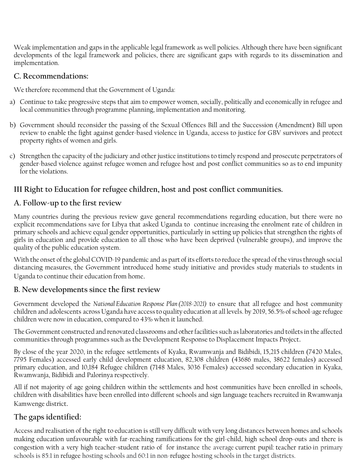Weak implementation and gaps in the applicable legal framework as well policies. Although there have been significant developments of the legal framework and policies, there are significant gaps with regards to its dissemination and implementation.

#### **C. Recommendations:**

We therefore recommend that the Government of Uganda:

- a) Continue to take progressive steps that aim to empower women, socially, politically and economically in refugee and local communities through programme planning, implementation and monitoring.
- b) Government should reconsider the passing of the Sexual Offences Bill and the Succession (Amendment) Bill upon review to enable the fight against gender-based violence in Uganda, access to justice for GBV survivors and protect property rights of women and girls.
- c) Strengthen the capacity of the judiciary and other justice institutions to timely respond and prosecute perpetrators of gender-based violence against refugee women and refugee host and post conflict communities so as to end impunity for the violations.

# **III Right to Education for refugee children, host and post conflict communities.**

### **A. Follow-up to the first review**

Many countries during the previous review gave general recommendations regarding education, but there were no explicit recommendations save for Libya that asked Uganda to continue increasing the enrolment rate of children in primary schools and achieve equal gender opportunities, particularly in setting up policies that strengthen the rights of girls in education and provide education to all those who have been deprived (vulnerable groups), and improve the quality of the public education system.

With the onset of the global COVID-19 pandemic and as part of its efforts to reduce the spread of the virus through social distancing measures, the Government introduced home study initiative and provides study materials to students in Uganda to continue their education from home.

## **B. New developments since the first review**

Government developed the *National Education Response Plan (2018-2021)* to ensure that all refugee and host community children and adolescents across Uganda have access to quality education at all levels. by 2019, 56.5% of school-age refugee children were now in education, compared to 43% when it launched.

The Government constructed and renovated classrooms and other facilities such as laboratories and toilets in the affected communities through programmes such as the Development Response to Displacement Impacts Project.

By close of the year 2020, in the refugee settlements of Kyaka, Rwamwanja and Bidibidi, 15,215 children (7420 Males, 7795 Females) accessed early child development education, 82,308 children (43686 males, 38622 females) accessed primary education, and 10,184 Refugee children (7148 Males, 3036 Females) accessed secondary education in Kyaka, Rwamwanja, Bidibidi and Palorinya respectively.

All if not majority of age going children within the settlements and host communities have been enrolled in schools, children with disabilities have been enrolled into different schools and sign language teachers recruited in Rwamwanja Kamwenge district.

## **The gaps identified:**

Access and realisation of the right to education is still very difficult with very long distances between homes and schools making education unfavourable with far-reaching ramifications for the girl-child, high school drop-outs and there is congestion with a very high teacher-student ratio of for instance the average current pupil: teacher ratio in primary schools is 85:1 in refugee hosting schools and 60:1 in non-refugee hosting schools in the target districts.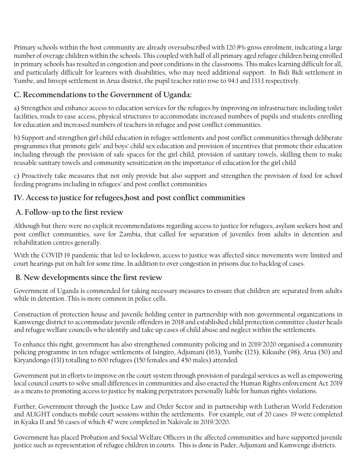Primary schools within the host community are already oversubscribed with 120.8% gross enrolment, indicating a large number of overage children within the schools. This coupled with half of all primary aged refugee children being enrolled in primary schools has resulted in congestion and poor conditions in the classrooms. This makes learning difficult for all, and particularly difficult for learners with disabilities, who may need additional support. In Bidi Bidi settlement in Yumbe, and Imvepi settlement in Arua district, the pupil teacher ratio rose to 94:1 and 133:1 respectively.

# **C. Recommendations to the Government of Uganda:**

a) Strengthen and enhance access to education services for the refugees by improving on infrastructure including toilet facilities, roads to ease access, physical structures to accommodate increased numbers of pupils and students enrolling for education and increased numbers of teachers in refugee and post conflict communities.

b) Support and strengthen girl child education in refugee settlements and post conflict communities through deliberate programmes that promote girls' and boys' child sex education and provision of incentives that promote their education including through the provision of safe spaces for the girl-child, provision of sanitary towels, skilling them to make reusable sanitary towels and community sensitization on the importance of education for the girl child

c) Proactively take measures that not only provide but also support and strengthen the provision of food for school feeding programs including in refugees' and post conflict communities

# **IV. Access to justice for refugees,host and post conflict communities**

# **A. Follow-up to the first review**

Although but there were no explicit recommendations regarding access to justice for refugees, asylum seekers host and post conflict communities, save for Zambia, that called for separation of juveniles from adults in detention and rehabilitation centres generally.

With the COVID 19 pandemic that led to lockdown, access to justice was affected since movements were limited and court hearings put on halt for some time. In addition to over congestion in prisons due to backlog of cases.

# **B. New developments since the first review**

Government of Uganda is commended for taking necessary measures to ensure that children are separated from adults while in detention. This is more common in police cells.

Construction of protection house and juvenile holding center in partnership with non-governmental organizations in Kamwenge district to accommodate juvenile offenders in 2018 and established child protection committee cluster heads and refugee welfare councils who identify and take up cases of child abuse and neglect within the settlements.

To enhance this right, government has also strengthened community policing and in 2019/2020 organised a community policing programme in ten refugee settlements of Isingiro, Adjumani (163), Yumbe (123), Kikuube (98), Arua (50) and Kiryandongo (131) totalling to 600 refugees (150 females and 450 males) attended.

Government put in efforts to improve on the court system through provision of paralegal services as well as empowering local council courts to solve small differences in communities and also enacted the Human Rights enforcement Act 2019 as a means to promoting access to justice by making perpetrators personally liable for human rights violations.

Further, Government through the Justice Law and Order Sector and in partnership with Lutheran World Federation and ALIGHT conducts mobile court sessions within the settlements. For example, out of 20 cases 19 were completed in Kyaka II and 56 cases of which 47 were completed in Nakivale in 2019/2020**.**

Government has placed Probation and Social Welfare Officers in the affected communities and have supported juvenile justice such as representation of refugee children in courts. This is done in Pader, Adjumani and Kamwenge districts.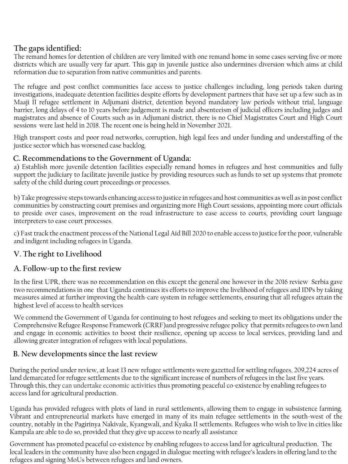# **The gaps identified:**

The remand homes for detention of children are very limited with one remand home in some cases serving five or more districts which are usually very far apart. This gap in juvenile justice also undermines diversion which aims at child reformation due to separation from native communities and parents.

The refugee and post conflict communities face access to justice challenges including, long periods taken during investigations, inadequate detention facilities despite efforts by development partners that have set up a few such as in Maaji II refugee settlement in Adjumani district, detention beyond mandatory law periods without trial, language barrier, long delays of 4 to 10 years before judgement is made and absenteeism of judicial officers including judges and magistrates and absence of Courts such as in Adjumani district, there is no Chief Magistrates Court and High Court sessions were last held in 2018. The recent one is being held in November 2021.

High transport costs and poor road networks, corruption, high legal fees and under funding and understaffing of the justice sector which has worsened case backlog.

### **C. Recommendations to the Government of Uganda:**

a) Establish more juvenile detention facilities especially remand homes in refugees and host communities and fully support the judiciary to facilitate juvenile justice by providing resources such as funds to set up systems that promote safety of the child during court proceedings or processes.

b) Take progressive steps towards enhancing access to justice in refugees and host communities as well as in post conflict communities by constructing court premises and organizing more High Court sessions, appointing more court officials to preside over cases, improvement on the road infrastructure to ease access to courts, providing court language interpreters to ease court processes.

c) Fast track the enactment process of the National Legal Aid Bill 2020 to enable access to justice for the poor, vulnerable and indigent including refugees in Uganda.

# **V. The right to Livelihood**

## **A. Follow-up to the first review**

In the first UPR, there was no recommendation on this except the general one however in the 2016 review Serbia gave two recommendations in one that Uganda continues its efforts to improve the livelihood of refugees and IDPs by taking measures aimed at further improving the health-care system in refugee settlements, ensuring that all refugees attain the highest level of access to health services

We commend the Government of Uganda for continuing to host refugees and seeking to meet its obligations under the Comprehensive Refugee Response Framework (CRRF)and progressive refugee policy that permits refugees to own land and engage in economic activities to boost their resilience, opening up access to local services, providing land and allowing greater integration of refugees with local populations.

## **B. New developments since the last review**

During the period under review, at least 13 new refugee settlements were gazetted for settling refugees, 209,224 acres of land demarcated for refugee settlements due to the significant increase of numbers of refugees in the last five years. Through this, they can undertake economic activities thus promoting peaceful co-existence by enabling refugees to access land for agricultural production.

Uganda has provided refugees with plots of land in rural settlements, allowing them to engage in subsistence farming. Vibrant and entrepreneurial markets have emerged in many of its main refugee settlements in the south-west of the country, notably in the Pagirinya Nakivale, Kyangwali, and Kyaka II settlements. Refugees who wish to live in cities like Kampala are able to do so, provided that they give up access to nearly all assistance

Government has promoted peaceful co-existence by enabling refugees to access land for agricultural production. The local leaders in the community have also been engaged in dialogue meeting with refugee's leaders in offering land to the refugees and signing MoUs between refugees and land owners.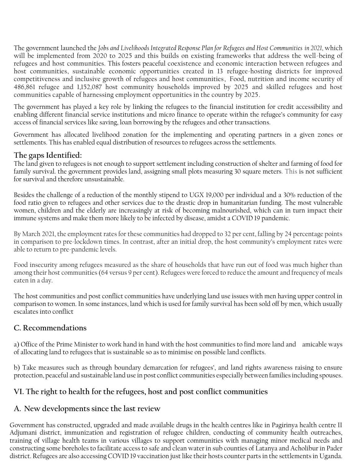The government launched the *Jobs and Livelihoods Integrated Response Plan for Refugees and Host Communities in 2021,* which will be implemented from 2020 to 2025 and this builds on existing frameworks that address the well-being of refugees and host communities. This fosters peaceful coexistence and economic interaction between refugees and host communities, sustainable economic opportunities created in 13 refugee-hosting districts for improved competitiveness and inclusive growth of refugees and host communities, Food, nutrition and income security of 486,861 refugee and 1,152,087 host community households improved by 2025 and skilled refugees and host communities capable of harnessing employment opportunities in the country by 2025.

The government has played a key role by linking the refugees to the financial institution for credit accessibility and enabling different financial service institutions and micro finance to operate within the refugee's community for easy access of financial services like saving, loan borrowing by the refugees and other transactions.

Government has allocated livelihood zonation for the implementing and operating partners in a given zones or settlements. This has enabled equal distribution of resources to refugees across the settlements.

### **The gaps Identified:**

The land given to refugees is not enough to support settlement including construction of shelter and farming of food for family survival. the government provides land, assigning small plots measuring 30 square meters. This is not sufficient for survival and therefore unsustainable.

Besides the challenge of a reduction of the monthly stipend to UGX 19,000 per individual and a 30% reduction of the food ratio given to refugees and other services due to the drastic drop in humanitarian funding. The most vulnerable women, children and the elderly are increasingly at risk of becoming malnourished, which can in turn impact their immune systems and make them more likely to be infected by disease, amidst a COVID 19 pandemic.

By March 2021, the employment rates for these communities had dropped to 32 per cent, falling by 24 percentage points in comparison to pre-lockdown times. In contrast, after an initial drop, the host community's employment rates were able to return to pre-pandemic levels.

Food insecurity among refugees measured as the share of households that have run out of food was much higher than among their host communities (64 versus 9 per cent). Refugees were forced to reduce the amount and frequency of meals eaten in a day.

The host communities and post conflict communities have underlying land use issues with men having upper control in comparison to women. In some instances, land which is used for family survival has been sold off by men, which usually escalates into conflict

## **C. Recommendations**

a) Office of the Prime Minister to work hand in hand with the host communities to find more land and amicable ways of allocating land to refugees that is sustainable so as to minimise on possible land conflicts.

b) Take measures such as through boundary demarcation for refugees', and land rights awareness raising to ensure protection, peaceful and sustainable land use in post conflict communities especially between families including spouses.

# **VI. The right to health for the refugees, host and post conflict communities**

## **A. New developments since the last review**

Government has constructed, upgraded and made available drugs in the health centres like in Pagirinya health centre II Adjumani district, immunization and registration of refugee children, conducting of community health outreaches, training of village health teams in various villages to support communities with managing minor medical needs and constructing some boreholes to facilitate access to safe and clean water in sub counties of Latanya and Acholibur in Pader district. Refugees are also accessing COVID 19 vaccination just like their hosts counter parts in the settlements in Uganda.